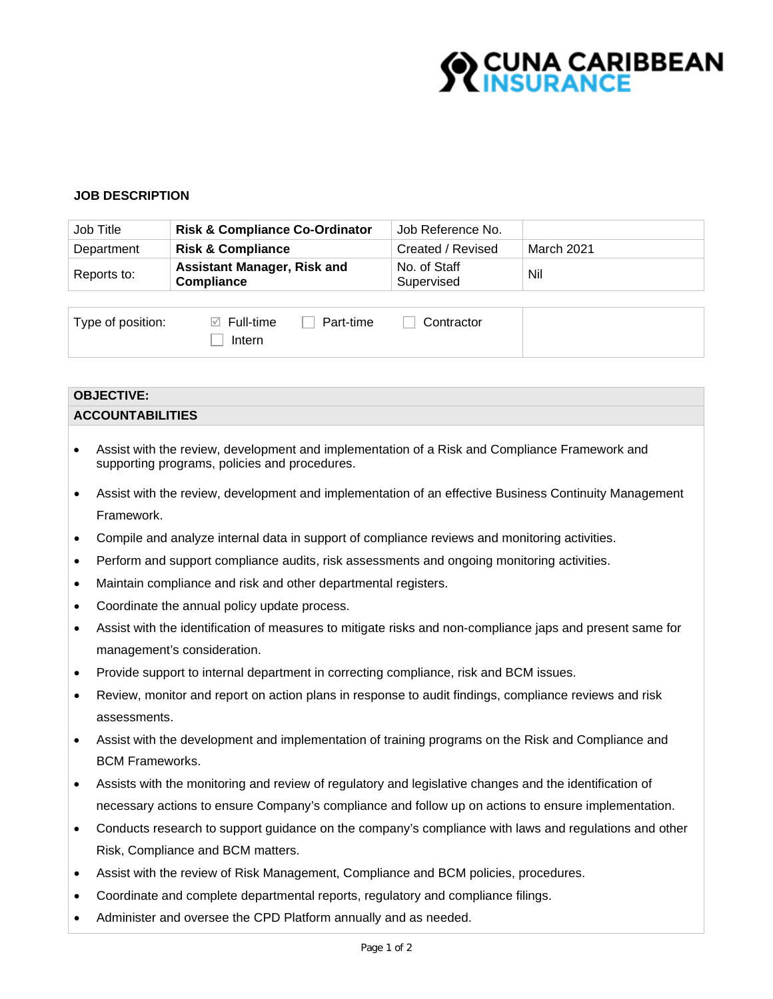

# **JOB DESCRIPTION**

| Job Title   | <b>Risk &amp; Compliance Co-Ordinator</b>        | Job Reference No.          |            |
|-------------|--------------------------------------------------|----------------------------|------------|
| Department  | <b>Risk &amp; Compliance</b>                     | Created / Revised          | March 2021 |
| Reports to: | <b>Assistant Manager, Risk and</b><br>Compliance | No. of Staff<br>Supervised | Nil        |

| Type of position: | $\boxtimes$ Full-time | Part-time | Contractor |  |
|-------------------|-----------------------|-----------|------------|--|
|                   | Intern                |           |            |  |

#### **OBJECTIVE:**

# **ACCOUNTABILITIES**

- Assist with the review, development and implementation of a Risk and Compliance Framework and supporting programs, policies and procedures.
- Assist with the review, development and implementation of an effective Business Continuity Management Framework.
- Compile and analyze internal data in support of compliance reviews and monitoring activities.
- Perform and support compliance audits, risk assessments and ongoing monitoring activities.
- Maintain compliance and risk and other departmental registers.
- Coordinate the annual policy update process.
- Assist with the identification of measures to mitigate risks and non-compliance japs and present same for management's consideration.
- Provide support to internal department in correcting compliance, risk and BCM issues.
- Review, monitor and report on action plans in response to audit findings, compliance reviews and risk assessments.
- Assist with the development and implementation of training programs on the Risk and Compliance and BCM Frameworks.
- Assists with the monitoring and review of regulatory and legislative changes and the identification of necessary actions to ensure Company's compliance and follow up on actions to ensure implementation.
- Conducts research to support guidance on the company's compliance with laws and regulations and other Risk, Compliance and BCM matters.
- Assist with the review of Risk Management, Compliance and BCM policies, procedures.
- Coordinate and complete departmental reports, regulatory and compliance filings.
- Administer and oversee the CPD Platform annually and as needed.